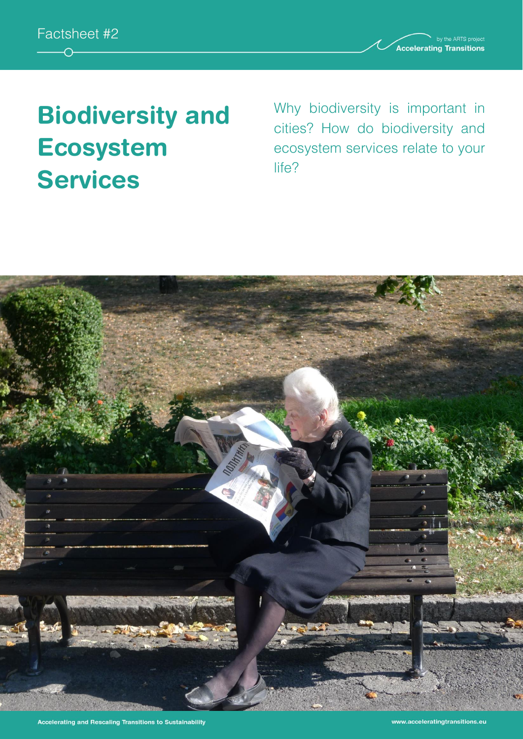

**Accelerating Transitions** 

# **Biodiversity and Ecosystem Services**

Why biodiversity is important in cities? How do biodiversity and ecosystem services relate to your life?

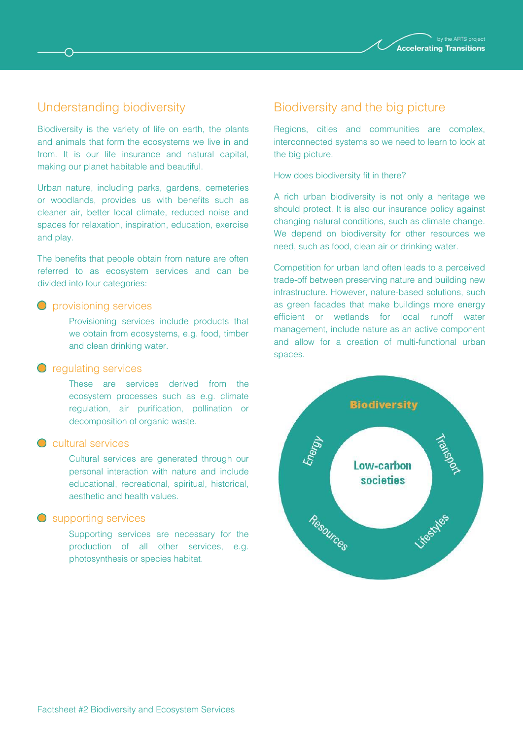

### Understanding biodiversity

Biodiversity is the variety of life on earth, the plants and animals that form the ecosystems we live in and from. It is our life insurance and natural capital, making our planet habitable and beautiful.

Urban nature, including parks, gardens, cemeteries or woodlands, provides us with benefits such as cleaner air, better local climate, reduced noise and spaces for relaxation, inspiration, education, exercise and play.

The benefits that people obtain from nature are often referred to as ecosystem services and can be divided into four categories:

#### **O** provisioning services

Provisioning services include products that we obtain from ecosystems, e.g. food, timber and clean drinking water.

#### **O** regulating services

These are services derived from the ecosystem processes such as e.g. climate regulation, air purification, pollination or decomposition of organic waste.

#### **C** cultural services

Cultural services are generated through our personal interaction with nature and include educational, recreational, spiritual, historical, aesthetic and health values.

#### $\bigcirc$ supporting services

Supporting services are necessary for the production of all other services, e.g. photosynthesis or species habitat.

#### Biodiversity and the big picture

Regions, cities and communities are complex, interconnected systems so we need to learn to look at the big picture.

How does biodiversity fit in there?

A rich urban biodiversity is not only a heritage we should protect. It is also our insurance policy against changing natural conditions, such as climate change. We depend on biodiversity for other resources we need, such as food, clean air or drinking water.

Competition for urban land often leads to a perceived trade-off between preserving nature and building new infrastructure. However, nature-based solutions, such as green facades that make buildings more energy efficient or wetlands for local runoff water management, include nature as an active component and allow for a creation of multi-functional urban spaces.

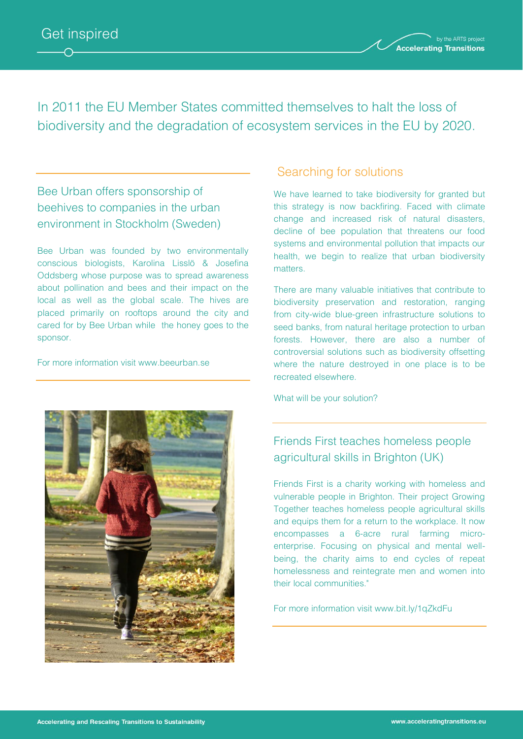

In 2011 the EU Member States committed themselves to halt the loss of biodiversity and the degradation of ecosystem services in the EU by 2020.

### Bee Urban offers sponsorship of beehives to companies in the urban environment in Stockholm (Sweden)

Bee Urban was founded by two environmentally conscious biologists, Karolina Lisslö & Josefina Oddsberg whose purpose was to spread awareness about pollination and bees and their impact on the local as well as the global scale. The hives are placed primarily on rooftops around the city and cared for by Bee Urban while the honey goes to the sponsor.

For more information visit www.beeurban.se

### Searching for solutions

We have learned to take biodiversity for granted but this strategy is now backfiring. Faced with climate change and increased risk of natural disasters, decline of bee population that threatens our food systems and environmental pollution that impacts our health, we begin to realize that urban biodiversity matters.

There are many valuable initiatives that contribute to biodiversity preservation and restoration, ranging from city-wide blue-green infrastructure solutions to seed banks, from natural heritage protection to urban forests. However, there are also a number of controversial solutions such as biodiversity offsetting where the nature destroyed in one place is to be recreated elsewhere.

What will be your solution?

### Friends First teaches homeless people agricultural skills in Brighton (UK)

Friends First is a charity working with homeless and vulnerable people in Brighton. Their project Growing Together teaches homeless people agricultural skills and equips them for a return to the workplace. It now encompasses a 6-acre rural farming microenterprise. Focusing on physical and mental wellbeing, the charity aims to end cycles of repeat homelessness and reintegrate men and women into their local communities."

For more information visit www.bit.ly/1qZkdFu